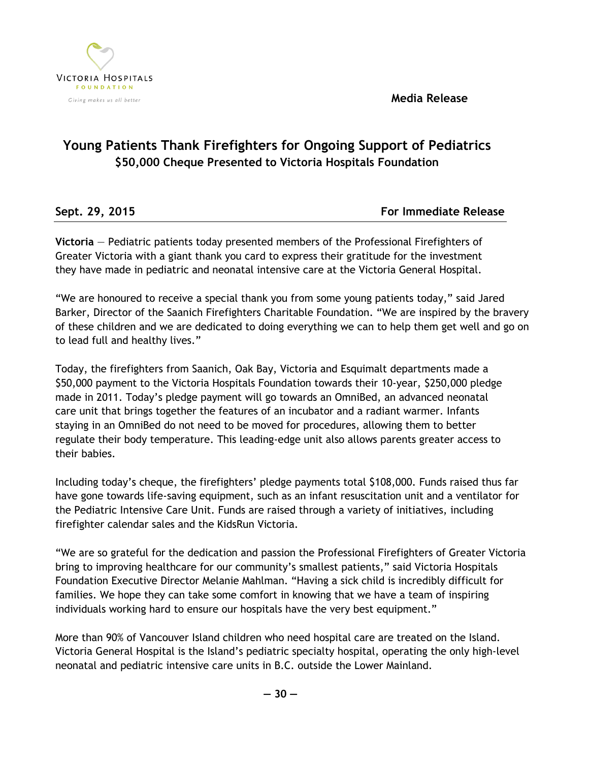**Media Release**



## **Young Patients Thank Firefighters for Ongoing Support of Pediatrics \$50,000 Cheque Presented to Victoria Hospitals Foundation**

| Sept. 29, 2015 | <b>For Immediate Release</b> |
|----------------|------------------------------|

**Victoria** — Pediatric patients today presented members of the Professional Firefighters of Greater Victoria with a giant thank you card to express their gratitude for the investment they have made in pediatric and neonatal intensive care at the Victoria General Hospital.

"We are honoured to receive a special thank you from some young patients today," said Jared Barker, Director of the Saanich Firefighters Charitable Foundation. "We are inspired by the bravery of these children and we are dedicated to doing everything we can to help them get well and go on to lead full and healthy lives."

Today, the firefighters from Saanich, Oak Bay, Victoria and Esquimalt departments made a \$50,000 payment to the Victoria Hospitals Foundation towards their 10-year, \$250,000 pledge made in 2011. Today's pledge payment will go towards an OmniBed, an advanced neonatal care unit that brings together the features of an incubator and a radiant warmer. Infants staying in an OmniBed do not need to be moved for procedures, allowing them to better regulate their body temperature. This leading-edge unit also allows parents greater access to their babies.

Including today's cheque, the firefighters' pledge payments total \$108,000. Funds raised thus far have gone towards life-saving equipment, such as an infant resuscitation unit and a ventilator for the Pediatric Intensive Care Unit. Funds are raised through a variety of initiatives, including firefighter calendar sales and the KidsRun Victoria.

"We are so grateful for the dedication and passion the Professional Firefighters of Greater Victoria bring to improving healthcare for our community's smallest patients," said Victoria Hospitals Foundation Executive Director Melanie Mahlman. "Having a sick child is incredibly difficult for families. We hope they can take some comfort in knowing that we have a team of inspiring individuals working hard to ensure our hospitals have the very best equipment."

More than 90% of Vancouver Island children who need hospital care are treated on the Island. Victoria General Hospital is the Island's pediatric specialty hospital, operating the only high-level neonatal and pediatric intensive care units in B.C. outside the Lower Mainland.